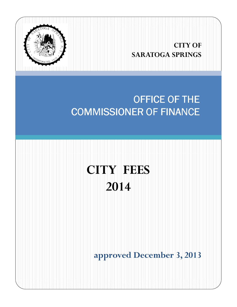

## **CITY OF SARATOGA SPRINGS**

## OFFICE OF THE **COMMISSIONER OF FINANCE**

# **CITY FEES 2014**

**approved December 3, 2013**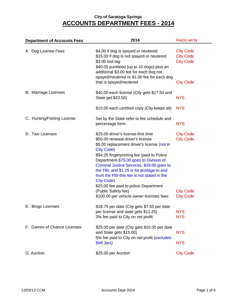| <b>Department of Accounts Fees</b> | 2014                                                                                                                                                                                                                                                                                                                                                                                                                                                              | Fee(s) set by                                            |  |
|------------------------------------|-------------------------------------------------------------------------------------------------------------------------------------------------------------------------------------------------------------------------------------------------------------------------------------------------------------------------------------------------------------------------------------------------------------------------------------------------------------------|----------------------------------------------------------|--|
| A. Dog License Fees                | \$4.00 if dog is spayed or neutered<br>\$15.00 if dog is not spayed or neutered<br>\$3.00 lost tag<br>\$40.00 purebred (up to 10 dogs)-plus an<br>additional \$3.00 fee for each dog not<br>spayed/neutered or \$1.00 fee for each dog                                                                                                                                                                                                                            | <b>City Code</b><br><b>City Code</b><br><b>City Code</b> |  |
|                                    | that is spayed/neutered                                                                                                                                                                                                                                                                                                                                                                                                                                           | <b>City Code</b>                                         |  |
| <b>B.</b> Marriage Licenses        | \$40.00 each license (City gets \$17.50 and<br>State get \$22.50)                                                                                                                                                                                                                                                                                                                                                                                                 | <b>NYS</b>                                               |  |
|                                    | \$10.00 each certified copy (City keeps all)                                                                                                                                                                                                                                                                                                                                                                                                                      | <b>NYS</b>                                               |  |
| C. Hunting/Fishing License         | Set by the State-refer to fee schedule and<br>percentage form                                                                                                                                                                                                                                                                                                                                                                                                     | <b>NYS</b>                                               |  |
| D. Taxi Licenses                   | \$25.00 driver's license-first time<br>\$50.00 renewal driver's license<br>\$5.00 replacement driver's license (not in<br><b>City Code)</b><br>\$94.25 fingerprinting fee (paid to Police<br>Department-\$75.00 goes to Division of<br>Criminal Justice Services, \$18.00 goes to<br>the FBI, and \$1.25 is for postage to and<br>from the FBI-this fee is not stated in the<br><b>City Code)</b><br>\$25.00 fee paid to police Department<br>(Public Safety fee) | <b>City Code</b><br><b>City Code</b><br><b>City Code</b> |  |
|                                    | \$100.00 per vehicle owner licenses fees                                                                                                                                                                                                                                                                                                                                                                                                                          | <b>City Code</b>                                         |  |
| E. Bingo Licenses                  | \$18.75 per date (City gets \$7.50 per date<br>per license and state gets \$11.25)<br>3% fee paid to City on net profit                                                                                                                                                                                                                                                                                                                                           | <b>NYS</b><br><b>NYS</b>                                 |  |
| F. Games of Chance Licenses        | \$25.00 per date (City gets \$10.00 per date<br>and State gets \$15.00)<br>5% fee paid to City on net profit (excludes                                                                                                                                                                                                                                                                                                                                            | <b>NYS</b>                                               |  |
|                                    | <b>Bell Jars)</b>                                                                                                                                                                                                                                                                                                                                                                                                                                                 | <b>NYS</b>                                               |  |
| G. Auction                         | \$25.00 per Auction                                                                                                                                                                                                                                                                                                                                                                                                                                               | <b>City Code</b>                                         |  |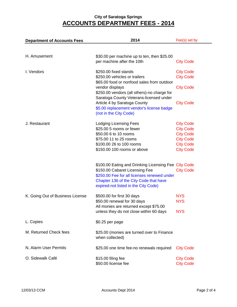| <b>Department of Accounts Fees</b> | 2014                                                                    | Fee(s) set by    |
|------------------------------------|-------------------------------------------------------------------------|------------------|
|                                    |                                                                         |                  |
| H. Amusement                       | \$30.00 per machine up to ten, then \$25.00                             |                  |
|                                    | per machine after the 10th                                              | <b>City Code</b> |
| I. Vendors                         | \$250.00 fixed stands                                                   | <b>City Code</b> |
|                                    | \$250.00 vehicles or trailers                                           | <b>City Code</b> |
|                                    | \$65.00 food or nonfood sales from outdoor<br>vendor displays           | <b>City Code</b> |
|                                    | \$250.00 vendors (all others)-no charge for                             |                  |
|                                    | Saratoga County Veterans-licensed under<br>Article 4 by Saratoga County | <b>City Code</b> |
|                                    | \$5.00 replacement vendor's license badge                               |                  |
|                                    | (not in the City Code)                                                  |                  |
| J. Restaurant                      | Lodging Licensing Fees                                                  | <b>City Code</b> |
|                                    | \$25.00 5 rooms or fewer                                                | <b>City Code</b> |
|                                    | \$50.00 6 to 10 rooms                                                   | <b>City Code</b> |
|                                    | \$75.00 11 to 25 rooms                                                  | <b>City Code</b> |
|                                    | \$100.00 26 to 100 rooms                                                | <b>City Code</b> |
|                                    | \$150.00 100 rooms or above                                             | <b>City Code</b> |
|                                    | \$100.00 Eating and Drinking Licensing Fee City Code                    |                  |
|                                    | \$150.00 Cabaret Licensing Fee                                          | <b>City Code</b> |
|                                    | \$250.00 Fee for all licenses renewed under                             |                  |
|                                    | Chapter 136 of the City Code that have                                  |                  |
|                                    | expired-not listed in the City Code)                                    |                  |
| K. Going Out of Business License   | \$500.00 for first 30 days                                              | <b>NYS</b>       |
|                                    | \$50.00 renewal for 30 days                                             | <b>NYS</b>       |
|                                    | All monies are returned except \$75.00                                  |                  |
|                                    | unless they do not close within 60 days                                 | <b>NYS</b>       |
| L. Copies                          | \$0.25 per page                                                         |                  |
| M. Returned Check fees             | \$25.00 (monies are turned over to Finance                              |                  |
|                                    | when collected)                                                         |                  |
| N. Alarm User Permits              | \$25.00 one time fee-no renewals required                               | <b>City Code</b> |
| O. Sidewalk Café                   | \$15.00 filing fee                                                      | <b>City Code</b> |
|                                    | \$50.00 license fee                                                     | <b>City Code</b> |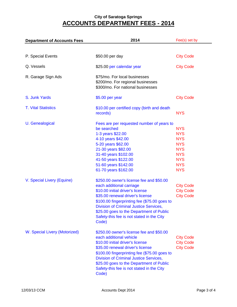| <b>Department of Accounts Fees</b> | 2014                                                                                                                                                                                                                                                                                                                                            | Fee(s) set by                                                                                                              |  |
|------------------------------------|-------------------------------------------------------------------------------------------------------------------------------------------------------------------------------------------------------------------------------------------------------------------------------------------------------------------------------------------------|----------------------------------------------------------------------------------------------------------------------------|--|
|                                    |                                                                                                                                                                                                                                                                                                                                                 |                                                                                                                            |  |
| P. Special Events                  | \$50.00 per day                                                                                                                                                                                                                                                                                                                                 | <b>City Code</b>                                                                                                           |  |
| Q. Vessels                         | \$25.00 per calendar year                                                                                                                                                                                                                                                                                                                       | <b>City Code</b>                                                                                                           |  |
| R. Garage Sign Ads                 | \$75/mo. For local businesses<br>\$200/mo. For regional businesses<br>\$300/mo. For national businesses                                                                                                                                                                                                                                         |                                                                                                                            |  |
| S. Junk Yards                      | $$5.00$ per year                                                                                                                                                                                                                                                                                                                                | <b>City Code</b>                                                                                                           |  |
| <b>T. Vital Statistics</b>         | \$10.00 per certified copy (birth and death<br>records)                                                                                                                                                                                                                                                                                         | <b>NYS</b>                                                                                                                 |  |
| U. Genealogical                    | Fees are per requested number of years to<br>be searched<br>1-3 years \$22.00<br>4-10 years \$42.00<br>5-20 years \$62.00<br>21-30 years \$82.00<br>31-40 years \$102.00<br>41-50 years \$122.00<br>51-60 years \$142.00<br>61-70 years \$162.00                                                                                                | <b>NYS</b><br><b>NYS</b><br><b>NYS</b><br><b>NYS</b><br><b>NYS</b><br><b>NYS</b><br><b>NYS</b><br><b>NYS</b><br><b>NYS</b> |  |
| V. Special Livery (Equine)         | \$250.00 owner's license fee and \$50.00<br>each additional carriage<br>\$10.00 initial driver's license<br>\$35.00 renewal driver's license<br>\$100.00 fingerprinting fee (\$75.00 goes to<br><b>Division of Criminal Justice Services,</b><br>\$25.00 goes to the Department of Public<br>Safety-this fee is not stated in the City<br>Code) | <b>City Code</b><br><b>City Code</b><br><b>City Code</b>                                                                   |  |
| W. Special Livery (Motorized)      | \$250.00 owner's license fee and \$50.00<br>each additional vehicle<br>\$10.00 initial driver's license<br>\$35.00 renewal driver's license<br>\$100.00 fingerprinting fee (\$75.00 goes to<br><b>Division of Criminal Justice Services,</b><br>\$25.00 goes to the Department of Public<br>Safety-this fee is not stated in the City<br>Code)  | <b>City Code</b><br><b>City Code</b><br><b>City Code</b>                                                                   |  |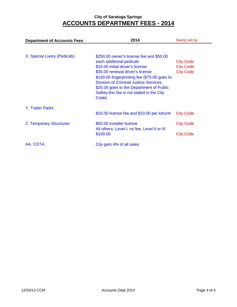| <b>Department of Accounts Fees</b> | 2014                                                                                                                                                                                                                                                                                                                                    | Fee(s) set by                                            |  |
|------------------------------------|-----------------------------------------------------------------------------------------------------------------------------------------------------------------------------------------------------------------------------------------------------------------------------------------------------------------------------------------|----------------------------------------------------------|--|
| X. Special Livery (Pedicab)        | \$250.00 owner's license fee and \$50.00<br>each additional pedicab<br>\$10.00 initial driver's license<br>\$35.00 renewal driver's license<br>\$100.00 fingerprinting fee (\$75.00 goes to<br>Division of Criminal Justice Services,<br>\$25.00 goes to the Department of Public<br>Safety-this fee is not stated in the City<br>Code) | <b>City Code</b><br><b>City Code</b><br><b>City Code</b> |  |
| <b>Y. Trailer Parks</b>            | \$10.00 license fee and \$10.00 per lot/unit                                                                                                                                                                                                                                                                                            | <b>City Code</b>                                         |  |
| Z. Temporary Structures            | \$50.00 installer license<br>All others- Level I, no fee, Level II or III<br>\$100.00                                                                                                                                                                                                                                                   | <b>City Code</b><br><b>City Code</b>                     |  |
| AA. CDTA                           | City gets 4% of all sales                                                                                                                                                                                                                                                                                                               |                                                          |  |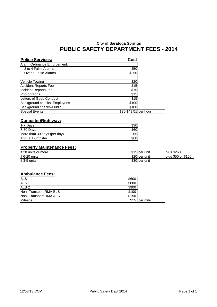## **City of Saratoga Springs PUBLIC SAFETY DEPARTMENT FEES - 2014**

| <b>Police Services:</b>      | Cost                  |  |
|------------------------------|-----------------------|--|
| Alarm Ordinance Enforcement: |                       |  |
| 3 to 4 False Alarms          | \$50                  |  |
| Over 5 False Alarms          | \$250                 |  |
|                              |                       |  |
| Vehicle Towing               | \$20                  |  |
| <b>Accident Reports Fee</b>  | \$15                  |  |
| Incident Reports Fee         | \$15                  |  |
| Photographs                  | \$15                  |  |
| Letters of Good Conduct      | \$15                  |  |
| Background checks- Employees | \$100                 |  |
| Background checks-Public     | \$100                 |  |
| <b>Special Events</b>        | \$35-\$49.51 per hour |  |

#### **Dumpster/Rightway:**

| $1-7$ Days                  |      |
|-----------------------------|------|
| 8-30 Days                   | \$60 |
| More than 30 days (per day) | \$5  |
| Annual Dumpster             | S601 |

#### **Property Maintenance Fees:**

| if 20 units or more | \$15 per unit | <b>plus \$250</b>       |
|---------------------|---------------|-------------------------|
| if 6-20 units       | \$20 per unit | or \$100<br>$plus$ \$50 |
| if 3-5 units        | \$30 per unit |                         |

#### **Ambulance Fees:**

| <b>BLS</b>            | \$600 |               |
|-----------------------|-------|---------------|
| ALS <sub>1</sub>      | \$800 |               |
| ALS <sub>2</sub>      | \$900 |               |
| Non-Transport RMA BLS | \$100 |               |
| Non-Transport RMA ALS | \$150 |               |
| Mileage               |       | \$15 per mile |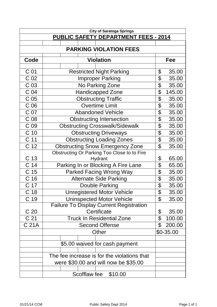|                 | <b>City of Saratoga Springs</b>                |                           |            |  |  |  |  |  |
|-----------------|------------------------------------------------|---------------------------|------------|--|--|--|--|--|
|                 | <b>PUBLIC SAFETY DEPARTMENT FEES - 2014</b>    |                           |            |  |  |  |  |  |
|                 |                                                |                           |            |  |  |  |  |  |
|                 | <b>PARKING VIOLATION FEES</b>                  |                           |            |  |  |  |  |  |
| Code            | <b>Violation</b>                               |                           | Fee        |  |  |  |  |  |
|                 |                                                |                           |            |  |  |  |  |  |
| C 01            | <b>Restricted Night Parking</b>                | \$                        | 35.00      |  |  |  |  |  |
| C <sub>02</sub> | <b>Improper Parking</b>                        | \$                        | 35.00      |  |  |  |  |  |
| C <sub>03</sub> | No Parking Zone                                | \$                        | 35.00      |  |  |  |  |  |
| C <sub>04</sub> | <b>Handicapped Zone</b>                        | \$                        | 145.00     |  |  |  |  |  |
| C <sub>05</sub> | <b>Obstructing Traffic</b>                     | \$                        | 35.00      |  |  |  |  |  |
| C <sub>06</sub> | <b>Overtime Limit</b>                          | \$                        | 35.00      |  |  |  |  |  |
| C 07            | <b>Abandoned Vehicle</b>                       | $\overline{\mathfrak{s}}$ | 35.00      |  |  |  |  |  |
| C <sub>08</sub> | <b>Obstructing Intersection</b>                | \$                        | 35.00      |  |  |  |  |  |
| C 09            | <b>Obstructing Crosswalk/Sidewalk</b>          | \$                        | 35.00      |  |  |  |  |  |
| C <sub>10</sub> | <b>Obstructing Driveways</b>                   | \$                        | 35.00      |  |  |  |  |  |
| C <sub>11</sub> | <b>Obstructing Loading Zones</b>               | \$                        | 35.00      |  |  |  |  |  |
| C <sub>12</sub> | <b>Obstructing Snow Emergency Zone</b>         | $\mathfrak{P}$            | 35.00      |  |  |  |  |  |
|                 | Obstructing Or Parking Too Close to to Fire    |                           |            |  |  |  |  |  |
| C 13            | Hydrant                                        | \$                        | 65.00      |  |  |  |  |  |
| C <sub>14</sub> | Parking In or Blocking A Fire Lane             | \$                        | 65.00      |  |  |  |  |  |
| C <sub>15</sub> | <b>Parked Facing Wrong Way</b>                 | \$                        | 35.00      |  |  |  |  |  |
| C <sub>16</sub> | <b>Alternate Side Parking</b>                  | \$                        | 35.00      |  |  |  |  |  |
| C 17            | Double Parking                                 | $\overline{\mathfrak{s}}$ | 35.00      |  |  |  |  |  |
| C <sub>18</sub> | <b>Unregistered Motor Vehicle</b>              | \$                        | 35.00      |  |  |  |  |  |
| C 19            | <b>Uninspected Motor Vehicle</b>               | \$                        | 35.00      |  |  |  |  |  |
|                 | <b>Failure To Display Current Registration</b> |                           |            |  |  |  |  |  |
| C 20            | Certificate                                    | \$                        | 35.00      |  |  |  |  |  |
| C <sub>21</sub> | <b>Truck In Residential Zone</b>               | \$                        | 100.00     |  |  |  |  |  |
| C 21A           | <b>Second Offense</b>                          | \$                        | 200.00     |  |  |  |  |  |
|                 | Other                                          |                           | $$0-35.00$ |  |  |  |  |  |
|                 | \$5.00 waived for cash payment                 |                           |            |  |  |  |  |  |
|                 | The fee increase is for the violations that    |                           |            |  |  |  |  |  |
|                 | were \$30.00 and will now be \$35.00           |                           |            |  |  |  |  |  |
|                 | Scofflaw fee<br>\$10.00                        |                           |            |  |  |  |  |  |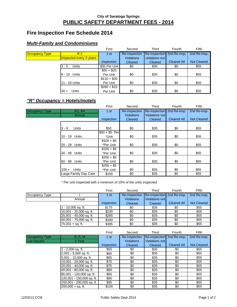#### **PUBLIC SAFETY DEPARTMENT FEES - 2014 City of Saratoga Springs**

## **Fire Inspection Fee Schedule 2014**

#### **Multi-Family and Condominiums**

|                       |                         | First         | Second            | Third                      | Fourth             | Fifth              |
|-----------------------|-------------------------|---------------|-------------------|----------------------------|--------------------|--------------------|
| <b>Occupancy Type</b> | R <sub>2</sub>          | 1st           | Re-inspection     | Re-inspection 2nd Re-insp. |                    | 2nd Re-insp.       |
|                       | Inspected every 3 years |               | <b>Violations</b> | violations not             |                    |                    |
|                       |                         | inspection    | Cleared           | Cleared                    | <b>Cleared All</b> | <b>Not Cleared</b> |
|                       | Units<br>$3 - 5$        | \$35 Per Unit | \$0               | \$35                       | \$0                | \$55               |
|                       |                         | $$55 + $20$   |                   |                            |                    |                    |
|                       | 6 - 10 Units            | Per Unit      | \$0               | \$35                       | \$0                | \$55               |
|                       |                         | $$110 + $20$  |                   |                            |                    |                    |
|                       | 11 - 20 Units           | Per Unit      | \$0               | \$35                       | \$0                | \$55               |
|                       |                         | $$260 + $15$  |                   |                            |                    |                    |
|                       | Units<br>$20 +$         | Per Unit      | \$0               | \$35                       | \$0                | \$55               |

#### **"R" Occupancy = Hotels/motels**

|                       |                                 | First          | Second            | Third          | Fourth             | <b>Fifth</b>       |
|-----------------------|---------------------------------|----------------|-------------------|----------------|--------------------|--------------------|
| <b>Occupancy Type</b> | R <sub>1</sub> , R <sub>4</sub> | 1st            | Re-inspection     | Re-inspection  | 2nd Re-insp.       | 2nd Re-insp.       |
|                       | Annual                          |                | <b>Violations</b> | Violations not |                    |                    |
|                       |                                 | inspection     | Cleared           | Cleared        | <b>Cleared All</b> | <b>Not Cleared</b> |
|                       |                                 |                |                   |                |                    |                    |
|                       | $3 - 9$<br><b>Units</b>         | \$50           | \$0               | \$35           | \$0                | \$55               |
|                       |                                 | $$50 + $5$ Per |                   |                |                    |                    |
|                       | 10 - 19 Units                   | *Unit          | \$0               | \$35           | \$0                | \$55               |
|                       |                                 | $$100 + $5$    |                   |                |                    |                    |
|                       | 20 - 29 Units                   | *Per Unit      | \$0               | \$35           | \$0                | \$55               |
|                       |                                 | $$150 + $5$    |                   |                |                    |                    |
|                       | 30 - 49 Units                   | *Per Unit      | \$0               | \$35           | \$0                | \$55               |
|                       |                                 | $$200 + $5$    |                   |                |                    |                    |
|                       | 50 - 99 Units                   | *Per Unit      | \$0               | \$35           | \$0                | \$55               |
|                       |                                 | $$250 + $5$    |                   |                |                    |                    |
|                       | <b>Units</b><br>$100 +$         | *Per Unit      | \$0               | \$35           | \$0                | \$55               |
|                       | Large Family Day Care           | \$150          | \$0               | \$35           | \$0                | \$55               |

\* Per unit inspected with a minimum of 10% of the units inspected

|                |                         | First      | Second            | Third                      | Fourth             | Fifth              |
|----------------|-------------------------|------------|-------------------|----------------------------|--------------------|--------------------|
| Occupancy Type |                         | 1 st       | Re-inspection     | Re-inspection 2nd Re-insp. |                    | 2nd Re-insp.       |
|                | Annual                  |            | <b>Violations</b> | Violations not             |                    |                    |
|                |                         | inspection | Cleared           | Cleared                    | <b>Cleared All</b> | <b>Not Cleared</b> |
|                | - 10,000 sq. ft.        | \$175      | \$0               | \$35                       | \$0                | \$55               |
|                | 10,001 - 25,000 sq. ft. | \$230      | \$0               | \$35                       | \$0                | \$55               |
|                | 25,001 - 40,000 sq. ft. | \$285      | \$0               | \$35                       | \$0                | \$55               |
|                | 40,001 - 75,000 sq. ft. | \$340      | \$0               | \$35                       | \$0                | \$55               |
|                | $75.001 + sa.$ ft.      | \$395      | \$0               | \$35                       | \$0                | \$55               |

|                       |                           | First      | Second            | Third                      | Fourth             | Fifth              |
|-----------------------|---------------------------|------------|-------------------|----------------------------|--------------------|--------------------|
| <b>Occupancy Type</b> | B, S, M                   | 1st        | Re-inspection     | Re-inspection 2nd Re-insp. |                    | 2nd Re-insp.       |
| Low Hazard            | 2 Year                    |            | <b>Violations</b> | <b>Violations not</b>      |                    |                    |
|                       |                           | inspection | Cleared           | Cleared                    | <b>Cleared All</b> | <b>Not Cleared</b> |
|                       | $1 - 2,000$ sq. ft.       | \$55       | \$0               | \$35                       | \$0                | \$55               |
|                       | $2,001 - 5,000$ sq. ft.   | \$60       | \$0               | \$35                       | \$0                | \$55               |
|                       | 5,001 - 10,000 sq. ft.    | \$65       | \$0               | \$35                       | \$0                | \$55               |
|                       | 10,001 - 20,000 sq. ft.   | \$70       | \$0               | \$35                       | \$0                | \$55               |
|                       | 20,001 - 40,000 sq. ft.   | \$75       | \$0               | \$35                       | \$0                | \$55               |
|                       | 40,001 - 80,000 sq. ft.   | \$80       | \$0               | \$35                       | \$0                | \$55               |
|                       | 80,001 - 120,000 sq. ft.  | \$85       | \$0               | \$35                       | \$0                | \$55               |
|                       | 120,001 - 150,000 sq. ft. | \$90       | \$0               | \$35                       | \$0                | \$55               |
|                       | 150,001 - 200,000 sq. ft. | \$95       | \$0               | \$35                       | \$0                | \$55               |
|                       | $200,000 + sq.$ ft.       | \$100      | \$0               | \$35                       | \$0                | \$55               |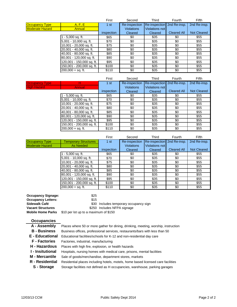|                        |                           | First      | Second            | Third                      | Fourth             | Fifth              |
|------------------------|---------------------------|------------|-------------------|----------------------------|--------------------|--------------------|
| <b>Occupancy Type</b>  | A, F, E                   | 1st        | Re-inspection     | Re-inspection 2nd Re-insp. |                    | 2nd Re-insp.       |
| <b>Moderate Hazard</b> | Annual                    |            | <b>Violations</b> | <b>Violations not</b>      |                    |                    |
|                        |                           | inspection | Cleared           | Cleared                    | <b>Cleared All</b> | <b>Not Cleared</b> |
|                        | - 5,000 sq. ft.           | \$65       | \$0               | \$35                       | \$0                | \$55               |
|                        | 5,001 - 10,000 sq. ft.    | \$70       | \$0               | \$35                       | \$0                | \$55               |
|                        | 10,001 - 20,000 sq. ft.   | \$75       | \$0               | \$35                       | \$0                | \$55               |
|                        | 20,001 - 40,000 sq. ft.   | \$80       | \$0               | \$35                       | \$0                | \$55               |
|                        | 40,001 - 80,000 sq. ft.   | \$85       | \$0               | \$35                       | \$0                | \$55               |
|                        | 80,001 - 120,000 sq. ft.  | \$90       | \$0               | \$35                       | \$0                | \$55               |
|                        | 120,001 - 150,000 sq. ft. | \$95       | \$0               | \$35                       | \$0                | \$55               |
|                        | 150,001 - 200,000 sq. ft. | \$100      | \$0               | \$35                       | \$0                | \$55               |
|                        | $200,000 + sq.$ ft.       | \$110      | \$0               | \$35                       | \$0                | \$55               |

|                       |                           | First           | Second            | Third                      | Fourth             | Fifth              |
|-----------------------|---------------------------|-----------------|-------------------|----------------------------|--------------------|--------------------|
| <b>Occupancy Type</b> | H                         | 1 <sub>st</sub> | Re-inspection     | Re-inspection 2nd Re-insp. |                    | 2nd Re-insp.       |
| <b>High Hazard</b>    | <b>Annual</b>             |                 | <b>Violations</b> | Violations not             |                    |                    |
|                       |                           | inspection      | Cleared           | Cleared                    | <b>Cleared All</b> | <b>Not Cleared</b> |
|                       | l - 5,000 sq. ft.         | \$65            | \$0               | \$35                       | \$0                | \$55               |
|                       | 5,001 - 10,000 sq. ft.    | \$70            | \$0               | \$35                       | \$0                | \$55               |
|                       | 10,001 - 20,000 sq. ft.   | \$75            | \$0               | \$35                       | \$0                | \$55               |
|                       | 20,001 - 40,000 sq. ft.   | \$80            | \$0               | \$35                       | \$0                | \$55               |
|                       | 40,001 - 80,000 sq. ft.   | \$85            | \$0               | \$35                       | \$0                | \$55               |
|                       | 80,001 - 120,000 sq. ft.  | \$90            | \$0               | \$35                       | \$0                | \$55               |
|                       | 120,001 - 150,000 sq. ft. | \$95            | \$0               | \$35                       | \$0                | \$55               |
|                       | 150,001 - 200,000 sq. ft. | \$100           | \$0               | \$35                       | \$0                | \$55               |
|                       | 200.000 + sa. ft.         | \$110           | \$0               | \$35                       | \$0                | \$55               |

|                        |                             | First      | Second            | Third                      | Fourth             | <b>Fifth</b>       |
|------------------------|-----------------------------|------------|-------------------|----------------------------|--------------------|--------------------|
| <b>Occupancy Type</b>  | <b>Temporary Structures</b> | 1st        | Re-inspection     | Re-inspection 2nd Re-insp. |                    | 2nd Re-insp.       |
| <b>Moderate Hazard</b> | As Needed                   |            | <b>Violations</b> | Violations not             |                    |                    |
|                        |                             | inspection | Cleared           | Cleared                    | <b>Cleared All</b> | <b>Not Cleared</b> |
|                        | - 5,000 sq. ft.             | \$65       | \$0               | \$35                       | \$0                | \$55               |
|                        | $5,001 - 10,000$ sq. ft.    | \$70       | \$0               | \$35                       | \$0                | \$55               |
|                        | 10,001 - 20,000 sq. ft.     | \$75       | \$0               | \$35                       | \$0                | \$55               |
|                        | 20,001 - 40,000 sq. ft.     | \$80       | \$0               | \$35                       | \$0                | \$55               |
|                        | 40,001 - 80,000 sq. ft.     | \$85       | \$0               | \$35                       | \$0                | \$55               |
|                        | 80,001 - 120,000 sq. ft.    | \$90       | \$0               | \$35                       | \$0                | \$55               |
|                        | 120,001 - 150,000 sq. ft.   | \$95       | \$0               | \$35                       | \$0                | \$55               |
|                        | 150,001 - 200,000 sq. ft.   | \$100      | \$0               | \$35                       | \$0                | \$55               |
|                        | $200,000 + sq.$ ft.         | \$110      | \$0               | \$35                       | \$0                | \$55               |

**Occupancy Signage:** \$25 **Occupancy Letters:** \$15 **Vacant Structures by Case 10 and S250 Includes NFPA signage** 

**Sidewalk Café**  $\begin{array}{c} 30 \text{ Index} \\ 20 \text{ inches} \end{array}$  Sidewalk Café

**Mobile Home Parks** \$10 per lot up to a maximum of \$150

| <b>Occupancies</b>     |                                                                                    |
|------------------------|------------------------------------------------------------------------------------|
| A - Assembly           | Places where 50 or more gather for dining, drinking, meeting, worship, instruction |
| <b>B</b> - Business    | Business offices, professional services, restaurants/bars with less than 50        |
| <b>E</b> - Educational | Educational facilities/schools for K-12 and non-residential day care               |
| <b>F</b> - Factories   | Factories, industrial, manufacturing                                               |
| H - Hazardous          | Places with high fire, explosion, or health hazards                                |
| ∣ - Insitutional       | Hospitals, nursing homes with medical care, prisons, mental facilities             |
| <b>M</b> - Mercantile  | Sale of goods/merchandise, department stores, markets                              |
| R - Residential        | Residential places including hotels, motels, home based licensed care facilities   |
| S - Storage            | Storage facilities not defined as H occupancies, warehouse, parking garages        |
|                        |                                                                                    |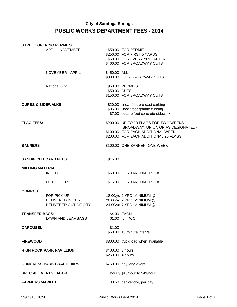## **City of Saratoga Springs PUBLIC WORKS DEPARTMENT FEES - 2014**

|                               | <b>STREET OPENING PERMITS:</b>                            |                                      |                                                                                                                                                           |
|-------------------------------|-----------------------------------------------------------|--------------------------------------|-----------------------------------------------------------------------------------------------------------------------------------------------------------|
|                               | APRIL - NOVEMBER                                          |                                      | \$50.00 FOR PERMIT<br>\$250.00 FOR FIRST 5 YARDS<br>\$50.00 FOR EVERY YRD. AFTER<br>\$400.00 FOR BROADWAY CUTS                                            |
|                               | NOVEMBER - APRIL                                          | \$450.00 ALL                         | \$800.00 FOR BROADWAY CUTS                                                                                                                                |
|                               | <b>National Grid</b>                                      | \$50.00 CUTS                         | \$50.00 PERMITS<br>\$150.00 FOR BROADWAY CUTS                                                                                                             |
| <b>CURBS &amp; SIDEWALKS:</b> |                                                           |                                      | \$20.00 linear foot pre-cast curbing<br>\$35.00 linear foot granite curbing<br>\$7.00 square foot concrete sidewalk                                       |
| <b>FLAG FEES:</b>             |                                                           |                                      | \$200.00 UP TO 20 FLAGS FOR TWO WEEKS<br>(BROADWAY, UNION OR AS DESIGNATED)<br>\$100.00 FOR EACH ADDITIONAL WEEK<br>\$200.00 FOR EACH ADDITIONAL 20 FLAGS |
| <b>BANNERS</b>                |                                                           |                                      | \$100.00 ONE BANNER, ONE WEEK                                                                                                                             |
| <b>SANDWICH BOARD FEES:</b>   |                                                           | \$15.00                              |                                                                                                                                                           |
| <b>MILLING MATERIAL:</b>      | IN CITY                                                   |                                      | \$60.00 FOR TANDUM TRUCK                                                                                                                                  |
|                               | OUT OF CITY                                               |                                      | \$75.00 FOR TANDUM TRUCK                                                                                                                                  |
| <b>COMPOST:</b>               | FOR PICK UP<br>DELIVERED IN CITY<br>DELIVERED OUT OF CITY |                                      | 18.00/yd 2 YRD. MINIMUM @<br>20.00/yd 7 YRD. MINIMUM @<br>24.00/yd 7 YRD. MINIMUM @                                                                       |
| <b>TRANSFER BAGS:</b>         | <b>LAWN AND LEAF BAGS</b>                                 |                                      | \$4.00 EACH<br>\$1.00 for TWO                                                                                                                             |
| <b>CAROUSEL</b>               |                                                           | \$1.00                               | \$50.00 15 minute interval                                                                                                                                |
| <b>FIREWOOD</b>               |                                                           |                                      | \$300.00 truck load when available                                                                                                                        |
|                               | <b>HIGH ROCK PARK PAVILLION</b>                           | \$400.00 8 hours<br>\$250.00 4 hours |                                                                                                                                                           |
|                               | <b>CONGRESS PARK CRAFT FAIRS</b>                          |                                      | \$750.00 day long event                                                                                                                                   |
| <b>SPECIAL EVENTS LABOR</b>   |                                                           |                                      | hourly \$10/hour to \$43/hour                                                                                                                             |
| <b>FARMERS MARKET</b>         |                                                           |                                      | \$3.50 per vendor, per day                                                                                                                                |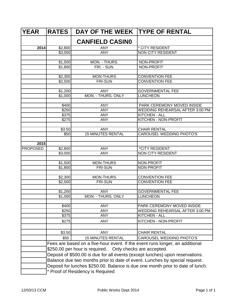| <b>YEAR</b>     | <b>RATES</b>                     | <b>DAY OF THE WEEK</b>                                   | <b>TYPE OF RENTAL</b>                                                          |  |  |
|-----------------|----------------------------------|----------------------------------------------------------|--------------------------------------------------------------------------------|--|--|
|                 |                                  | <b>CANFIELD CASINO</b>                                   |                                                                                |  |  |
| 2014            | \$2,800                          | <b>ANY</b>                                               | * CITY RESIDENT                                                                |  |  |
|                 | $\overline{$}3,000$              | <b>ANY</b>                                               | <b>NON CITY RESIDENT</b>                                                       |  |  |
|                 |                                  |                                                          |                                                                                |  |  |
|                 | \$1,500                          | MON. - THURS.                                            | NON-PROFIT                                                                     |  |  |
|                 | \$1,800                          | FRI. - SUN.                                              | NON-PROFIT                                                                     |  |  |
|                 |                                  |                                                          |                                                                                |  |  |
|                 | \$2,300                          | <b>MON-THURS</b>                                         | <b>CONVENTION FEE</b>                                                          |  |  |
|                 | \$2,500                          | <b>FRI-SUN</b>                                           | <b>CONVENTION FEE</b>                                                          |  |  |
|                 |                                  |                                                          |                                                                                |  |  |
|                 | \$1,200                          | <b>ANY</b>                                               | <b>GOVERNMENTAL FEE</b>                                                        |  |  |
|                 | $\overline{$}1,000$              | <b>MON. - THURS. ONLY</b>                                | <b>LUNCHEON</b>                                                                |  |  |
|                 | \$400                            | <b>ANY</b>                                               | PARK CEREMONY MOVED INSIDE                                                     |  |  |
|                 | \$250                            | <b>ANY</b>                                               | WEDDING REHEARSAL AFTER 3:00 PM                                                |  |  |
|                 | \$375                            | <b>ANY</b>                                               | <b>KITCHEN - ALL</b>                                                           |  |  |
|                 | \$275                            | <b>ANY</b>                                               | KITCHEN - NON-PROFIT                                                           |  |  |
|                 |                                  |                                                          |                                                                                |  |  |
|                 | \$3.50                           | <b>ANY</b>                                               | <b>CHAIR RENTAL</b>                                                            |  |  |
|                 | \$50                             | <b>15 MINUTES RENTAL</b>                                 | <b>CAROUSEL WEDDING PHOTO'S</b>                                                |  |  |
|                 |                                  |                                                          |                                                                                |  |  |
| 2015            |                                  |                                                          |                                                                                |  |  |
| <b>PROPOSED</b> | \$2,800                          | <b>ANY</b>                                               | *CITY RESIDENT                                                                 |  |  |
|                 | \$3,000                          | <b>ANY</b>                                               | <b>NON CITY RESIDENT</b>                                                       |  |  |
|                 |                                  |                                                          |                                                                                |  |  |
|                 | \$1,500                          | <b>MON-THURS</b><br><b>FRI-SUN</b>                       | NON-PROFIT<br><b>NON-PROFIT</b>                                                |  |  |
|                 | \$1,800                          |                                                          |                                                                                |  |  |
|                 | \$2,300                          | <b>MON-THURS</b>                                         | <b>CONVENTION FEE</b>                                                          |  |  |
|                 | \$2,500                          | <b>FRI-SUN</b>                                           | <b>CONVENTION FEE</b>                                                          |  |  |
|                 |                                  |                                                          |                                                                                |  |  |
|                 | \$1,200                          | <b>ANY</b>                                               | <b>GOVERNMENTAL FEE</b>                                                        |  |  |
|                 | \$1,000                          | <b>MON. - THURS. ONLY</b>                                | <b>LUNCHEON</b>                                                                |  |  |
|                 |                                  |                                                          |                                                                                |  |  |
|                 | \$400                            | <b>ANY</b>                                               | PARK CEREMONY MOVED INSIDE                                                     |  |  |
|                 | \$250                            | <b>ANY</b>                                               | WEDDING REHEARSAL AFTER 3:00 PM                                                |  |  |
|                 | \$375                            | ANY                                                      | KITCHEN - ALL                                                                  |  |  |
|                 | \$275                            | <b>ANY</b>                                               | KITCHEN - NON-PROFIT                                                           |  |  |
|                 |                                  |                                                          |                                                                                |  |  |
|                 | \$3.50                           | <b>ANY</b>                                               | <b>CHAIR RENTAL</b>                                                            |  |  |
|                 | \$50                             | <b>15 MINUTES RENTAL</b>                                 | CAROUSEL WEDDING PHOTO'S                                                       |  |  |
|                 |                                  |                                                          | Fees are based on a five-hour event. If the event runs longer, an additional   |  |  |
|                 |                                  | \$250.00 per hour is required. Only checks are accepted. |                                                                                |  |  |
|                 |                                  |                                                          | Deposit of \$500.00 is due for all events (except lunches) upon reservations.  |  |  |
|                 |                                  |                                                          |                                                                                |  |  |
|                 |                                  |                                                          | Balance due two months prior to date of event. Lunches by special request.     |  |  |
|                 |                                  |                                                          | Deposit for lunches \$250.00. Balance is due one month prior to date of lunch. |  |  |
|                 | * Proof of Residency is Required |                                                          |                                                                                |  |  |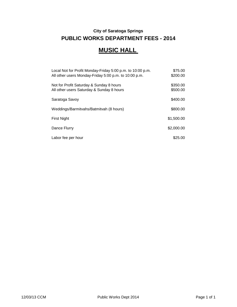## **City of Saratoga Springs PUBLIC WORKS DEPARTMENT FEES - 2014**

## **MUSIC HALL**

| Local Not for Profit Monday-Friday 5:00 p.m. to 10:00 p.m.<br>All other users Monday-Friday 5:00 p.m. to 10:00 p.m. | \$75.00<br>\$200.00  |
|---------------------------------------------------------------------------------------------------------------------|----------------------|
| Not for Profit Saturday & Sunday 8 hours<br>All other users Saturday & Sunday 8 hours                               | \$350.00<br>\$500.00 |
| Saratoga Savoy                                                                                                      | \$400.00             |
| Weddings/Barmitvahs/Batmitvah (8 hours)                                                                             | \$800.00             |
| First Night                                                                                                         | \$1,500.00           |
| Dance Flurry                                                                                                        | \$2,000.00           |
| Labor fee per hour                                                                                                  | \$25.00              |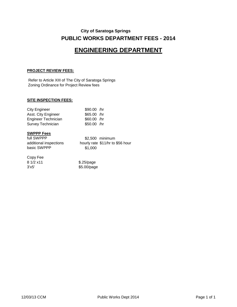## **City of Saratoga Springs PUBLIC WORKS DEPARTMENT FEES - 2014**

## **ENGINEERING DEPARTMENT**

#### **PROJECT REVIEW FEES:**

Refer to Article XIII of The City of Saratoga Springs Zoning Ordinance for Project Review fees

#### **SITE INSPECTION FEES:**

| <b>City Engineer</b> | \$90.00 /hr  |
|----------------------|--------------|
| Asst. City Engineer  | $$65.00$ /hr |
| Engineer Technician  | \$60.00 /hr  |
| Survey Technician    | $$50.00$ /hr |

#### **SWPPP Fees**

full SWPPP \$2,500 minimum basic SWPPP \$1,000

additional inspections hourly rate \$11/hr to \$56 hour

#### Copy Fee

| 8 1/2 x 11 | $$.25$ /page |
|------------|--------------|
| 3'x5'      | \$5.00/page  |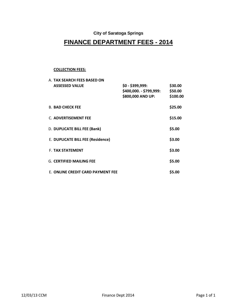### **City of Saratoga Springs**

## **FINANCE DEPARTMENT FEES - 2014**

#### **COLLECTION FEES:**

| A. TAX SEARCH FEES BASED ON       |                         |          |
|-----------------------------------|-------------------------|----------|
| <b>ASSESSED VALUE</b>             | $$0 - $399,999$ :       | \$30.00  |
|                                   | \$400,000. - \$799,999: | \$50.00  |
|                                   | \$800,000 AND UP:       | \$100.00 |
|                                   |                         |          |
| <b>B. BAD CHECK FEE</b>           |                         | \$25.00  |
|                                   |                         |          |
| C. ADVERTISEMENT FEE              |                         | \$15.00  |
| D. DUPLICATE BILL FEE (Bank)      |                         | \$5.00   |
|                                   |                         |          |
| E. DUPLICATE BILL FEE (Residence) |                         | \$3.00   |
|                                   |                         |          |
| <b>F. TAX STATEMENT</b>           |                         | \$3.00   |
|                                   |                         |          |
| <b>G. CERTIFIED MAILING FEE</b>   |                         | \$5.00   |
|                                   |                         |          |
| E. ONLINE CREDIT CARD PAYMENT FEE |                         | \$5.00   |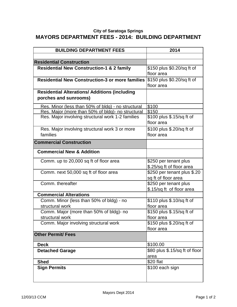## **City of Saratoga Springs MAYORS DEPARTMENT FEES - 2014: BUILDING DEPARTMENT**

| <b>BUILDING DEPARTMENT FEES</b>                                               | 2014                                               |
|-------------------------------------------------------------------------------|----------------------------------------------------|
|                                                                               |                                                    |
| <b>Residential Construction</b>                                               |                                                    |
| <b>Residential New Construction-1 &amp; 2 family</b>                          | \$150 plus \$0.20/sq ft of<br>floor area           |
| <b>Residential New Construction-3 or more families</b>                        | \$150 plus \$0.20/sq ft of<br>floor area           |
| <b>Residential Alterations/ Additions (including</b><br>porches and sunrooms) |                                                    |
| Res. Minor (less than 50% of bldg) - no structural                            | \$100                                              |
| Res. Major (more than 50% of bldg)- no structural                             | \$150                                              |
| Res. Major involving structural work 1-2 families                             | \$100 plus \$.15/sq ft of<br>floor area            |
| Res. Major involving structural work 3 or more                                | \$100 plus \$.20/sq ft of                          |
| families                                                                      | floor area                                         |
| <b>Commercial Construction</b>                                                |                                                    |
| <b>Commercial New &amp; Addition</b>                                          |                                                    |
| Comm. up to 20,000 sq ft of floor area                                        | \$250 per tenant plus<br>\$.25/sq ft of floor area |
| Comm. next 50,000 sq ft of floor area                                         | \$250 per tenant plus \$.20<br>sq ft of floor area |
| Comm. thereafter                                                              | \$250 per tenant plus<br>\$.15/sq ft of floor area |
| <b>Commercial Alterations</b>                                                 |                                                    |
| Comm. Minor (less than 50% of bldg) - no<br>structural work                   | \$110 plus \$.10/sq ft of<br>floor area            |
| Comm. Major (more than 50% of bldg)- no                                       | \$150 plus \$.15/sq ft of                          |
| structural work                                                               | floor area                                         |
| Comm. Major involving structural work                                         | \$150 plus \$.20/sq ft of<br>floor area            |
| <b>Other Permit/ Fees</b>                                                     |                                                    |
| <b>Deck</b>                                                                   | \$100.00                                           |
| <b>Detached Garage</b>                                                        | \$80 plus \$.15/sq ft of floor                     |
|                                                                               | area                                               |
| <b>Shed</b>                                                                   | \$20 flat                                          |
| <b>Sign Permits</b>                                                           | \$100 each sign                                    |
|                                                                               |                                                    |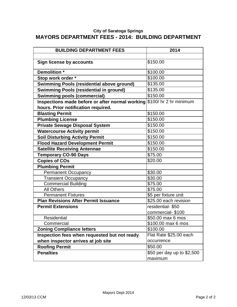#### **City of Saratoga Springs MAYORS DEPARTMENT FEES - 2014: BUILDING DEPARTMENT**

| <b>BUILDING DEPARTMENT FEES</b>                                        | 2014                       |
|------------------------------------------------------------------------|----------------------------|
|                                                                        |                            |
| <b>Sign license by accounts</b>                                        | \$150.00                   |
| Demolition *                                                           | \$100.00                   |
| Stop work order *                                                      | \$100.00                   |
| <b>Swimming Pools (residential above ground)</b>                       | \$135.00                   |
| <b>Swimming Pools (residential in ground)</b>                          | \$135.00                   |
| <b>Swimming pools (commercial)</b>                                     | \$150.00                   |
| Inspections made before or after normal working \$100/ hr 2 hr minimum |                            |
| hours. Prior notification required.                                    |                            |
| <b>Blasting Permit</b>                                                 | \$150.00                   |
| <b>Plumbing License</b>                                                | \$150.00                   |
| <b>Private Sewage Disposal System</b>                                  | \$150.00                   |
| <b>Watercourse Activity permit</b>                                     | \$150.00                   |
| <b>Soil Disturbing Activity Permit</b>                                 | \$150.00                   |
| <b>Flood Hazard Development Permit</b>                                 | \$150.00                   |
| <b>Satellite Receiving Antennae</b>                                    | \$150.00                   |
| <b>Temporary CO-90 Days</b>                                            | \$75.00                    |
| <b>Copies of COs</b>                                                   | \$20.00                    |
| <b>Plumbing Permit</b>                                                 |                            |
| <b>Permanent Occupancy</b>                                             | \$30.00                    |
| <b>Transient Occupancy</b>                                             | \$30.00                    |
| <b>Commercial Building</b>                                             | \$75.00                    |
| <b>All Others</b>                                                      | \$75.00                    |
| <b>Permanent Fixtures</b>                                              | \$5 per fixture unit       |
| <b>Plan Revisions After Permit Issuance</b>                            | \$25.00 each revision      |
| <b>Permit Extensions</b>                                               | residential-\$50           |
|                                                                        | commercial-\$100           |
| <b>Residential</b>                                                     | \$50.00 max 6 mos          |
| Commercial                                                             | \$100.00 max 6 mos         |
| <b>Zoning Compliance letters</b>                                       | \$100.00                   |
| Inspection fees when requested but not ready                           | Flat Rate \$25.00 each     |
| when inspector arrives at job site                                     | occurrence                 |
| <b>Roofing Permit</b>                                                  | \$50.00                    |
| <b>Penalties</b>                                                       | \$50 per day up to \$2,500 |
|                                                                        | maximum                    |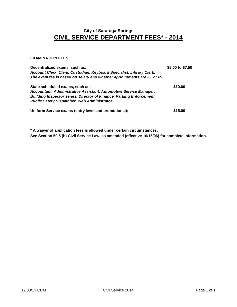## **CIVIL SERVICE DEPARTMENT FEES\* - 2014 City of Saratoga Springs**

#### **EXAMINATION FEES:**

| Decentralized exams, such as:<br>Account Clerk, Clerk, Custodian, Keyboard Specialist, Library Clerk.<br>The exam fee is based on salary and whether appointments are FT or PT                                                            | \$5.00 to \$7.50 |
|-------------------------------------------------------------------------------------------------------------------------------------------------------------------------------------------------------------------------------------------|------------------|
| State scheduled exams, such as:<br>Accountant, Administrative Assistant, Automotive Service Manager,<br><b>Building Inspector series, Director of Finance, Parking Enforcement,</b><br><b>Public Safety Dispatcher, Web Administrator</b> | \$10.00          |
| Uniform Service exams (entry level and promotional):                                                                                                                                                                                      | \$15.00          |

**\* A waiver of application fees is allowed under certain circumstances. See Section 50.5 (b) Civil Service Law, as amended (effective 10/15/06) for complete information.**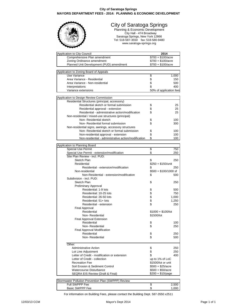#### **City of Saratoga Springs MAYORS DEPARTMENT FEES - 2014: PLANNING & ECONOMIC DEVELOPMENT**



#### City of Saratoga Springs

Planning & Economic Development City Hall - 474 Broadway Saratoga Springs, New York 12866 Tel: 518-587-3550 fax: 518-580-9480 www.saratoga-springs.org

| Application to City Council                          | 2014                       |       |
|------------------------------------------------------|----------------------------|-------|
| Comprehensive Plan amendment                         | $$700 + $100/ \text{acre}$ |       |
| Zoning Ordinance amendment                           | $$700 + $100/$ acre        |       |
| Planned Unit Development (PUD) amendment             | $$700 + $100/ \text{acre}$ |       |
|                                                      |                            |       |
| Application to Zoning Board of Appeals               |                            |       |
| Use Variance                                         | \$                         | 1,000 |
| Area Variance - Residential                          | \$                         | 150   |
| Area Variance - Non-residential                      | \$                         | 500   |
| Interpretations                                      | \$                         | 400   |
| Variance extensions                                  | 50% of application fees    |       |
|                                                      |                            |       |
| Application to Design Review Commission              |                            |       |
| Residential Structures (principal, accessory)        |                            |       |
| Residential sketch or formal submission              | \$                         | 25    |
| Residential approval - extension                     | \$                         | 25    |
| Residential - administrative action/modification     | \$                         | 25    |
| Non-residential / mixed-use structures (principal)   |                            |       |
| Non-Residential sketch                               | \$                         | 100   |
| Non- Residential formal submission                   | \$                         | 300   |
| Non-residential signs, awnings, accessory structures |                            |       |
| Non- Residential sketch or formal submission         | \$                         | 100   |
| Non-residential approval - extension                 | \$                         | 100   |
| Non-residential - administrative action/modification | \$                         | 100   |
|                                                      |                            |       |
| Application to Planning Board                        |                            |       |
| <b>Special Use Permit</b>                            | \$                         | 750   |
| Special Use Permit - extension/modification          | \$                         | 250   |
| Site Plan Review - incl. PUD:                        |                            |       |
| Sketch Plan                                          | \$                         | 250   |
| Residential                                          | $$250 + $150/$ unit        |       |
| Residential - extension/modification                 | \$                         | 250   |
| Non-residential                                      | $$500 + $100/1000$ sf      |       |
| Non-Residential - extension/modification             | \$                         | 500   |
| Subdivision - incl. PUD:                             |                            |       |
| Sketch Plan                                          | \$                         | 250   |
| Preliminary Approval                                 |                            |       |
| Residential: 1-9 lots                                | \$                         | 500   |
| Residential: 10-25 lots                              |                            | 750   |
| Residential: 26-50 lots                              | \$\$                       | 1,000 |
| Residential: 51+ lots                                |                            | 1,250 |
| Residential - extension                              | \$                         | 250   |
| Final Approval                                       |                            |       |
| Residential                                          | $$1000 + $100/$ lot        |       |
| Non-Residential                                      | \$1500/lot                 |       |
| <b>Final Approval Extension</b>                      |                            |       |
| Residential                                          | \$                         | 100   |
| Non- Residential                                     | \$                         | 250   |
| Final Approval Modification                          |                            |       |
| Residential                                          | \$                         | 250   |
| Non-Residential                                      | \$                         | 500   |
|                                                      |                            |       |
| Other:                                               |                            |       |
| <b>Administrative Action</b>                         | \$                         | 250   |
| Lot Line Adjustment                                  | \$                         | 250   |
| Letter of Credit - modification or extension         | \$                         | 400   |
| Letter of Credit - collection                        | up to 1% of LoC            |       |
| <b>Recreation Fee</b>                                | \$1500/lot or unit         |       |
| Soil Erosion & Sediment Control                      | $$500 + $25/ \text{acre}$  |       |
| Watercourse Disturbance                              | $$500 + $50/$ acre         |       |
| SEQRA EIS Review (Draft & Final)                     | $$200 + $10$ /page         |       |
|                                                      |                            |       |
| Stormwater Pollution Prevention Plan (SWPPP) Review  |                            |       |

Full SWPPP Fee  $\begin{array}{ccc} 5 & 2,500 \\ 3 & 2,500 \end{array}$ Basic SWPPP Fee

For information on Building Fees, please contact the Building Dept. 587-3550 x2511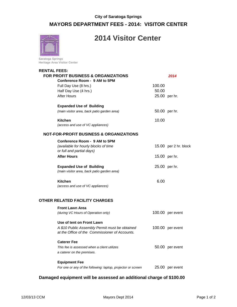## **City of Saratoga Springs MAYORS DEPARTMENT FEES - 2014: VISITOR CENTER**



## **2014 Visitor Center**

**Saratoga Springs Heritage Area Visitor Center** 

#### **RENTAL FEES:**

| <b>FOR PROFIT BUSINESS &amp; ORGANIZATIONS</b><br>Conference Room - 9 AM to 5PM |        | 2014                  |
|---------------------------------------------------------------------------------|--------|-----------------------|
| Full Day Use (8 hrs.)                                                           | 100.00 |                       |
| Half Day Use (4 hrs.)                                                           | 50.00  |                       |
| After Hours                                                                     |        | 25.00 per hr.         |
| <b>Expanded Use of Building</b>                                                 |        |                       |
| (main visitor area, back patio garden area)                                     |        | 50.00 per hr.         |
| <b>Kitchen</b>                                                                  | 10.00  |                       |
| (access and use of VC appliances)                                               |        |                       |
| <b>NOT-FOR-PROFIT BUSINESS &amp; ORGANIZATIONS</b>                              |        |                       |
| Conference Room - 9 AM to 5PM                                                   |        |                       |
| (available for hourly blocks of time<br>or full and partial days)               |        | 15.00 per 2 hr. block |
| <b>After Hours</b>                                                              |        | 15.00 per hr.         |
| <b>Expanded Use of Building</b>                                                 |        | 25.00 per hr.         |
| (main visitor area, back patio garden area)                                     |        |                       |
| Kitchen                                                                         | 6.00   |                       |
| (access and use of VC appliances)                                               |        |                       |
|                                                                                 |        |                       |

#### **OTHER RELATED FACILITY CHARGES**

| <b>Front Lawn Area</b><br>(during VC Hours of Operation only)                                                                 | 100.00 | per event |
|-------------------------------------------------------------------------------------------------------------------------------|--------|-----------|
| Use of tent on Front Lawn<br>A \$10 Public Assembly Permit must be obtained<br>at the Office of the Commissioner of Accounts. | 100.00 | per event |
| <b>Caterer Fee</b><br>This fee is assessed when a client utilizes<br>a caterer on the premises.                               | 50.00  | per event |
| <b>Equipment Fee</b><br>For one or any of the following: laptop, projector or screen                                          | 25.00  | per event |

#### **Damaged equipment will be assessed an additional charge of \$100.00**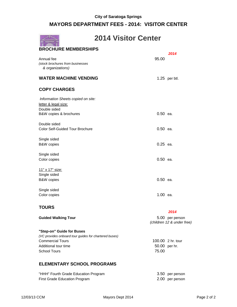## **MAYORS DEPARTMENT FEES - 2014: VISITOR CENTER**

|                                                                    | <b>2014 Visitor Center</b> |                 |
|--------------------------------------------------------------------|----------------------------|-----------------|
| <b>BROCHURE MEMBERSHIPS</b>                                        |                            | 2014            |
| Annual fee<br>(stock brochures from businesses<br>& organizations) | 95.00                      |                 |
| <b>WATER MACHINE VENDING</b>                                       |                            | $1.25$ per btl. |
| <b>COPY CHARGES</b>                                                |                            |                 |
| Information Sheets copied on site:<br>letter & legal size:         |                            |                 |
| Double sided<br>B&W copies & brochures                             | 0.50 ea.                   |                 |
| Double sided<br><b>Color Self-Guided Tour Brochure</b>             | $0.50$ ea.                 |                 |
| Single sided<br><b>B&amp;W</b> copies                              | 0.25 ea.                   |                 |
| Single sided<br>Color copies                                       | $0.50$ ea.                 |                 |
| <u>11" x 17" size:</u><br>Single sided                             |                            |                 |
| <b>B&amp;W</b> copies                                              | $0.50$ ea.                 |                 |
| Single sided<br>Color copies                                       | 1.00 ea.                   |                 |
|                                                                    |                            |                 |

#### **TOURS**

|                                                       | 2014                                          |
|-------------------------------------------------------|-----------------------------------------------|
| <b>Guided Walking Tour</b>                            | 5.00 per person<br>(children 12 & under free) |
| "Step-on" Guide for Buses                             |                                               |
| (VC provides onboard tour quides for chartered buses) |                                               |
| Commercial Tours                                      | 100.00 2 hr. tour                             |
|                                                       |                                               |

## Additional tour time 50.00 per hr. School Tours 75.00

#### **ELEMENTARY SCHOOL PROGRAMS**

| "HHH" Fourth Grade Education Program | 3.50 per person |
|--------------------------------------|-----------------|
| <b>First Grade Education Program</b> | 2.00 per person |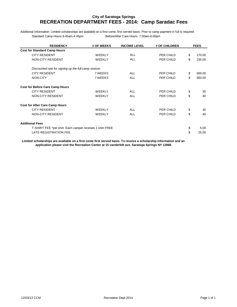#### **City of Saratoga Springs RECREATION DEPARTMENT FEES - 2014: Camp Saradac Fees**

Additional Information: Limited scholarships are available on a first come, first served basis. Prior to camp payment in full is required Standard Camp Hours 8:45am-4:45pm Before/After Care Hours: 7:30am-6:00pm

| <b>RESIDENCY</b>                                          | # OF WEEKS    | <b>INCOME LEVEL</b> | # OF CHILDREN    | <b>FEES</b>  |
|-----------------------------------------------------------|---------------|---------------------|------------------|--------------|
| <b>Cost for Standard Camp Hours</b>                       |               |                     |                  |              |
| <b>CITY RESIDENT</b>                                      | <b>WFFKIY</b> | <b>ALL</b>          | PER CHILD        | \$<br>170.00 |
| <b>NON-CITY RESIDENT</b>                                  | <b>WEEKLY</b> | <b>ALL</b>          | PER CHILD        | \$<br>235.00 |
| Discounted rate for signing up the full camp season       |               |                     |                  |              |
| <b>CITY RESIDENT</b>                                      | 7 WEEKS       | AII                 | <b>PER CHILD</b> | \$<br>695.00 |
| <b>NON-CITY</b>                                           | 7 WEEKS       | <b>ALL</b>          | <b>PER CHILD</b> | \$<br>950.00 |
| <b>Cost for Before Care Camp Hours</b>                    |               |                     |                  |              |
| <b>CITY RESIDENT</b>                                      | <b>WFFKIY</b> | AI I                | PER CHILD        | \$<br>30     |
| <b>NON-CITY RESIDENT</b>                                  | <b>WEEKLY</b> | <b>ALL</b>          | PER CHILD        | \$<br>40     |
| <b>Cost for After Care Camp Hours</b>                     |               |                     |                  |              |
| <b>CITY RESIDENT</b>                                      | <b>WEEKLY</b> | <b>ALL</b>          | PER CHILD        | \$<br>30     |
| <b>NON-CITY RESIDENT</b>                                  | <b>WEEKLY</b> | <b>ALL</b>          | PER CHILD        | \$<br>40     |
| <b>Additional Fees</b>                                    |               |                     |                  |              |
| T-SHIRT FEE *per shirt. Each camper receives 1 shirt FREE |               |                     |                  | \$<br>5.00   |
| <b>LATE REGISTRATION FEE</b>                              |               |                     |                  | \$<br>25.00  |

**Limited scholarships are available on a first come first served basis. To receive a scholarship information and an application please visit the Recreation Center at 15 vanderbilt ave. Saratoga Springs NY 12866**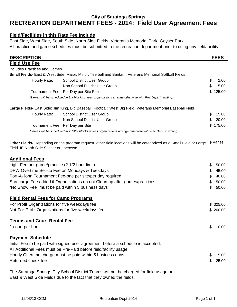## **RECREATION DEPARTMENT FEES - 2014: Field User Agreement Fees City of Saratoga Springs**

#### **Field/Facilities in this Rate Fee Include**

East Side, West Side, South Side, North Side Fields, Veteran's Memorial Park, Geyser Park All practice and game schedules must be submitted to the recreation department prior to using any field/facility

| <b>DESCRIPTION</b>                                 |                                                                                                                     | <b>FEES</b>  |
|----------------------------------------------------|---------------------------------------------------------------------------------------------------------------------|--------------|
| <b>Field Use Fee</b>                               |                                                                                                                     |              |
| <b>Includes Practices and Games</b>                |                                                                                                                     |              |
|                                                    | Small Fields- East & West Side: Major, Minor, Tee ball and Bantam; Veterans Memorial Softball Fields                |              |
| Hourly Rate:                                       | <b>School District User Group</b>                                                                                   | \$<br>2.00   |
|                                                    | Non School District User Group                                                                                      | \$<br>5.00   |
|                                                    | Tournament Fee: Per Day per Site Fee                                                                                | \$<br>125.00 |
|                                                    | Games will be scheduled in 2hr blocks unless organizations arrange otherwise with Rec Dept. in writing.             |              |
|                                                    | Large Fields- East Side: Jim King, Big Baseball, Football; West Big Field, Veterans Memorial Baseball Field         |              |
| Hourly Rate:                                       | <b>School District User Group</b>                                                                                   | \$<br>15.00  |
|                                                    | Non School District User Group                                                                                      | \$<br>20.00  |
|                                                    | Tournament Fee: Per Day per Site                                                                                    | \$175.00     |
|                                                    | Games will be scheduled in 2 1/2hr blocks unless organizations arrange otherwise with Rec Dept. in writing.         |              |
| Field. IE North Side Soccer or Lacrosse.           | Other Fields- Depending on the program request, other field locations will be categorized as a Small Field or Large | \$ Varies    |
| <b>Additional Fees</b>                             |                                                                                                                     |              |
| Light Fee per game/practice (2 1/2 hour limit)     |                                                                                                                     | \$<br>50.00  |
| DPW Overtime Set-up Fee on Mondays & Tuesdays      |                                                                                                                     | \$<br>45.00  |
|                                                    | Port-A-John Tournament Fee-one per site/per day required                                                            | \$<br>40.00  |
|                                                    | Surcharge Fee added if Organizations do not Clean up after games/practices                                          | \$<br>50.00  |
| "No Show Fee" must be paid within 5 business days  |                                                                                                                     | \$<br>50.00  |
| <b>Field Rental Fees for Camp Programs</b>         |                                                                                                                     |              |
| For Profit Organizations for five weekdays fee     |                                                                                                                     | \$325.00     |
| Not-For-Profit Organizations for five weekdays fee |                                                                                                                     | \$200.00     |
| <b>Tennis and Court Rental Fee</b>                 |                                                                                                                     |              |
| 1 court per hour                                   |                                                                                                                     | \$10.00      |
| <b>Payment Schedule</b>                            |                                                                                                                     |              |
|                                                    | Initial Fee to be paid with signed user agreement before a schedule is accepted.                                    |              |
|                                                    | All Additional Fees must be Pre-Paid before field/facility usage.                                                   |              |
|                                                    | Hourly Overtime charge must be paid within 5 business days                                                          | \$<br>15.00  |
| Returned check fee                                 |                                                                                                                     | \$<br>25.00  |
|                                                    | The Saratoga Springs City School District Teams will not be charged for field usage on                              |              |

East & West Side Fields due to the fact that they owned the fields.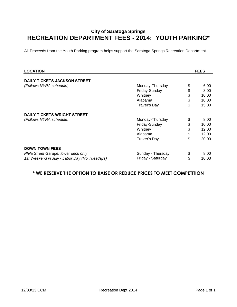## **City of Saratoga Springs RECREATION DEPARTMENT FEES - 2014: YOUTH PARKING\***

All Proceeds from the Youth Parking program helps support the Saratoga Springs Recreation Department.

| <b>LOCATION</b>                               |                   | <b>FEES</b> |
|-----------------------------------------------|-------------------|-------------|
| <b>DAILY TICKETS-JACKSON STREET</b>           |                   |             |
|                                               |                   | 6.00        |
| (Follows NYRA schedule)                       | Monday-Thursday   | \$          |
|                                               | Friday-Sunday     | \$<br>8.00  |
|                                               | Whitney           | \$<br>10.00 |
|                                               | Alabama           | \$<br>10.00 |
|                                               | Traver's Day      | \$<br>15.00 |
| <b>DAILY TICKETS-WRIGHT STREET</b>            |                   |             |
| (Follows NYRA schedule)                       | Monday-Thursday   | \$<br>8.00  |
|                                               | Friday-Sunday     | \$<br>10.00 |
|                                               | Whitney           | \$<br>12.00 |
|                                               | Alabama           | \$<br>12.00 |
|                                               | Traver's Day      | \$<br>20.00 |
| <b>DOWN TOWN FEES</b>                         |                   |             |
| Phila Street Garage, lower deck only          | Sunday - Thursday | \$<br>8.00  |
| 1st Weekend in July - Labor Day (No Tuesdays) | Friday - Saturday | \$<br>10.00 |

## **\* WE RESERVE THE OPTION TO RAISE OR REDUCE PRICES TO MEET COMPETITION**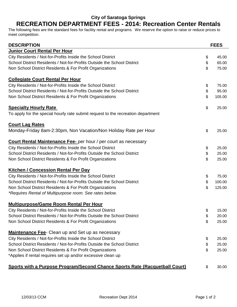## **City of Saratoga Springs RECREATION DEPARTMENT FEES - 2014: Recreation Center Rentals**

The following fees are the standard fees for facility rental and programs. We reserve the option to raise or reduce prices to meet competition.

| <b>DESCRIPTION</b>                                                               | <b>FEES</b>  |
|----------------------------------------------------------------------------------|--------------|
| <b>Junior Court Rental Per Hour</b>                                              |              |
| City Residents / Not-for-Profits Inside the School District                      | \$<br>45.00  |
| School District Residents / Not-for-Profits Outside the School District          | \$<br>65.00  |
| Non School District Residents & For Profit Organizations                         | \$<br>75.00  |
| <b>Collegiate Court Rental Per Hour</b>                                          |              |
| City Residents / Not-for-Profits Inside the School District                      | \$<br>75.00  |
| School District Residents / Not-for-Profits Outside the School District          | \$<br>95.00  |
| Non School District Residents & For Profit Organizations                         | \$<br>105.00 |
| <b>Specialty Hourly Rate</b>                                                     | \$<br>25.00  |
| To apply for the special hourly rate submit request to the recreation department |              |
| <b>Court Lag Rates</b>                                                           |              |
| Monday-Friday 8am-2:30pm, Non Vacation/Non Holiday Rate per Hour                 | \$<br>25.00  |
| <b>Court Rental Maintenance Fee-</b> per hour / per court as necessary           |              |
| City Residents / Not-for-Profits Inside the School District                      | \$<br>25.00  |
| School District Residents / Not-for-Profits Outside the School District          | \$<br>25.00  |
| Non School District Residents & For Profit Organizations                         | \$<br>25.00  |
| <b>Kitchen / Concession Rental Per Day</b>                                       |              |
| City Residents / Not-for-Profits Inside the School District                      | \$<br>75.00  |
| School District Residents / Not-for-Profits Outside the School District          | \$<br>100.00 |
| Non School District Residents & For Profit Organizations                         | \$<br>125.00 |
| *Requires Rental of Multipurpose room. See rates below.                          |              |
| <b>Multipurpose/Game Room Rental Per Hour</b>                                    |              |
| City Residents / Not-for-Profits Inside the School District                      | \$<br>15.00  |
| School District Residents / Not-for-Profits Outside the School District          | \$<br>20.00  |
| Non School District Residents & For Profit Organizations                         | \$<br>25.00  |
| <b>Maintenance Fee-</b> Clean up and Set up as necessary                         |              |
| City Residents / Not-for-Profits Inside the School District                      | \$<br>25.00  |
| School District Residents / Not-for-Profits Outside the School District          | \$<br>25.00  |
| Non School District Residents & For Profit Organizations                         | \$<br>25.00  |
| *Applies if rental requires set up and/or excessive clean up                     |              |
| Sports with a Purpose Program/Second Chance Sports Rate (Racquetball Court)      | \$<br>30.00  |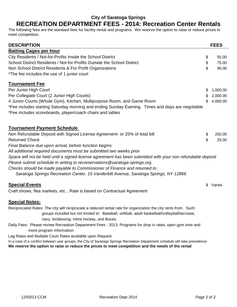## **City of Saratoga Springs**

## **RECREATION DEPARTMENT FEES - 2014: Recreation Center Rentals**

The following fees are the standard fees for facility rental and programs. We reserve the option to raise or reduce prices to meet competition.

| <b>DESCRIPTION</b>                                                                                                                                                                                                                   |          | <b>FEES</b> |
|--------------------------------------------------------------------------------------------------------------------------------------------------------------------------------------------------------------------------------------|----------|-------------|
| <b>Batting Cages per hour</b>                                                                                                                                                                                                        |          |             |
| City Residents / Not-for-Profits Inside the School District                                                                                                                                                                          | \$       | 55.00       |
| School District Residents / Not-for-Profits Outside the School District                                                                                                                                                              | \$       | 75.00       |
| Non School District Residents & For Profit Organizations                                                                                                                                                                             | \$       | 95.00       |
| *The fee includes the use of 1 junior court                                                                                                                                                                                          |          |             |
| <b>Tournament Fee</b>                                                                                                                                                                                                                |          |             |
| Per Junior High Court                                                                                                                                                                                                                | \$       | 1,000.00    |
| Per Collegiate Court (2 Junior High Courts)                                                                                                                                                                                          | \$       | 2,000.00    |
| 4 Junior Courts (Whole Gym), Kitchen, Multipurpose Room, and Game Room                                                                                                                                                               | \$       | 4,000.00    |
| *Fee includes starting Saturday morning and ending Sunday Evening. Times and days are negotiable                                                                                                                                     |          |             |
| *Fee includes scoreboards, player/coach chairs and tables                                                                                                                                                                            |          |             |
| <b>Tournament Payment Schedule</b>                                                                                                                                                                                                   |          |             |
| Non Refundable Deposit with Signed License Agreement- or 25% of total bill                                                                                                                                                           |          | 250.00      |
| <b>Returned Check</b>                                                                                                                                                                                                                | \$<br>\$ | 25.00       |
| Final Balance due upon arrival, before function begins                                                                                                                                                                               |          |             |
| All additional required documents must be submitted two weeks prior                                                                                                                                                                  |          |             |
| Space will not be held until a signed license agreement has been submitted with your non refundable deposit                                                                                                                          |          |             |
| Please submit schedule in writing to recreservations@saratoga-springs.org                                                                                                                                                            |          |             |
| Checks should be made payable to Commissioner of Finance and returned to:                                                                                                                                                            |          |             |
| Saratoga Springs Recreation Center, 15 Vanderbilt Avenue, Saratoga Springs, NY 12866                                                                                                                                                 |          |             |
|                                                                                                                                                                                                                                      |          |             |
| <b>Special Events</b>                                                                                                                                                                                                                | \$       | Varies      |
| Craft shows, flea markets, etcRate is based on Contractual Agreement                                                                                                                                                                 |          |             |
| <b>Special Notes:</b>                                                                                                                                                                                                                |          |             |
| Reciprocated Rates: The city will reciprocate a reduced rental rate for organization the city rents from. Such                                                                                                                       |          |             |
| groups included but not limited to: Baseball, softball, adult basketball/volleyball/lacrosse,                                                                                                                                        |          |             |
| navy, kickboxing, inline hockey, and Boces.                                                                                                                                                                                          |          |             |
| Daily Fees: Please review Recreation Department Fees - 2013: Programs for drop in rates, open gym time and<br>more program information                                                                                               |          |             |
| Lag Rates and Multiple Court Rates available upon Request                                                                                                                                                                            |          |             |
| In a case of a conflict between user groups, the City of Saratoga Springs Recreation Department schedule will take precedence<br>We reserve the option to raise or reduce the prices to meet competition and the needs of the rental |          |             |
|                                                                                                                                                                                                                                      |          |             |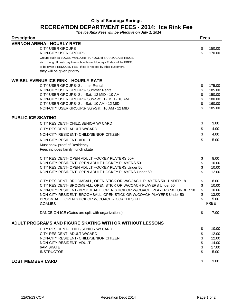## **City of Saratoga Springs RECREATION DEPARTMENT FEES - 2014: Ice Rink Fee**

**The Ice Rink Fees will be effective on July 1, 2014**

| <b>Description</b>                                                       |          | <b>Fees</b>    |  |
|--------------------------------------------------------------------------|----------|----------------|--|
| <b>VERNON ARENA - HOURLY RATE</b>                                        |          |                |  |
| <b>CITY USER GROUPS</b>                                                  | \$       | 150.00         |  |
| NON-CITY USER GROUPS                                                     | \$       | 170.00         |  |
| Groups such as BOCES, WALDORF SCHOOL of SARATOGA SPRINGS,                |          |                |  |
| etc. during off peak day time school hours Monday - Friday will be FREE, |          |                |  |
| or be given a REDUCED FEE. If ice is needed by other customers,          |          |                |  |
| they will be given priority.                                             |          |                |  |
| <b>WEIBEL AVENUE ICE RINK - HOURLY RATE</b>                              |          |                |  |
| CITY USER GROUPS- Summer Rental                                          | \$       | 175.00         |  |
| NON-CITY USER GROUPS- Summer Rental                                      | \$       | 185.00         |  |
| CITY USER GROUPS- Sun-Sat: 12 MID - 10 AM                                | \$       | 150.00         |  |
| NON-CITY USER GROUPS- Sun-Sat: 12 MID - 10 AM                            | \$       | 180.00         |  |
| CITY USER GROUPS- Sun-Sat: 10 AM - 12 MID                                | \$       | 160.00         |  |
| NON-CITY USER GROUPS- Sun-Sat: 10 AM - 12 MID                            | \$       | 185.00         |  |
| <b>PUBLIC ICE SKATING</b>                                                |          |                |  |
| CITY RESIDENT- CHILD/SENIOR W/ CARD                                      | \$       | 3.00           |  |
| CITY RESIDENT- ADULT W/CARD                                              | \$       | 4.00           |  |
| NON-CITY RESIDENT- CHILD/SENIOR CITIZEN                                  | \$       | 4.00           |  |
|                                                                          |          |                |  |
| NON-CITY RESIDENT- ADULT                                                 | \$       | 5.00           |  |
| Must show proof of Residency                                             |          |                |  |
| Fees includes family, lunch skate                                        |          |                |  |
| CITY RESIDENT- OPEN ADULT HOCKEY PLAYERS 50+                             | \$       | 8.00           |  |
| NON-CITY RESIDENT- OPEN ADULT HOCKEY PLAYERS 50+                         | \$       | 10.00          |  |
| CITY RESIDENT- OPEN ADULT HOCKEY PLAYERS Under 50                        | \$       | 10.00          |  |
| NON-CITY RESIDENT- OPEN ADULT HOCKEY PLAYERS Under 50                    | \$       | 12.00          |  |
| CITY RESIDENT- BROOMBALL, OPEN STICK OR W/COACH PLAYERS 50+ UNDER 18     | \$       | 8.00           |  |
| CITY RESIDENT- BROOMBALL, OPEN STICK OR W/COACH PLAYERS Under 50         | \$       | 10.00          |  |
| NON-CITY RESIDENT- BROOMBALL, OPEN STICK OR W/COACH PLAYERS 50+ UNDER 18 | \$       | 10.00          |  |
| NON-CITY RESIDENT- BROOMBALL, OPEN STICK OR W/COACH PLAYERS Under 50     | \$       | 12.00          |  |
| BROOMBALL, OPEN STICK OR W/COACH - COACHES FEE                           | \$       | 5.00           |  |
| <b>GOALIES</b>                                                           |          | <b>FREE</b>    |  |
| DANCE ON ICE (Gates are split with organizations)                        | \$       | 7.00           |  |
| ADULT PROGRAMS AND FIGURE SKATING WITH OR WITHOUT LESSONS                |          |                |  |
|                                                                          |          | 10.00          |  |
| CITY RESIDENT- CHILD/SENIOR W/ CARD                                      | \$       |                |  |
| CITY RESIDENT- ADULT W/CARD<br>NON-CITY RESIDENT- CHILD/SENIOR CITIZEN   | \$       | 12.00          |  |
| NON-CITY RESIDENT- ADULT                                                 | \$       | 12.00<br>14.00 |  |
| <b>6AM SKATE</b>                                                         | \$<br>\$ | 17.00          |  |
| <b>INSTRUCTOR</b>                                                        | \$       | 5.00           |  |
|                                                                          |          |                |  |
| <b>LOST MEMBER CARD</b><br>\$                                            |          |                |  |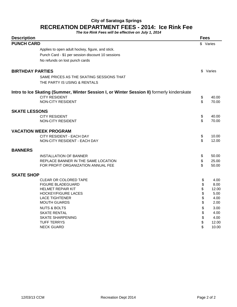## **City of Saratoga Springs RECREATION DEPARTMENT FEES - 2014: Ice Rink Fee**

**The Ice Rink Fees will be effective on July 1, 2014**

| <b>Description</b>      |                                                                                            |          | <b>Fees</b>    |
|-------------------------|--------------------------------------------------------------------------------------------|----------|----------------|
| <b>PUNCH CARD</b>       |                                                                                            |          | \$ Varies      |
|                         | Applies to open adult hockey, figure, and stick.                                           |          |                |
|                         | Punch Card - \$1 per session discount 10 sessions                                          |          |                |
|                         | No refunds on lost punch cards                                                             |          |                |
| <b>BIRTHDAY PARTIES</b> |                                                                                            | \$       | Varies         |
|                         |                                                                                            |          |                |
|                         | SAME PRICES AS THE SKATING SESSIONS THAT<br>THE PARTY IS USING & RENTALS                   |          |                |
|                         |                                                                                            |          |                |
|                         | Intro to Ice Skating (Summer, Winter Session I, or Winter Session II) formerly kinderskate |          |                |
|                         | <b>CITY RESIDENT</b><br><b>NON-CITY RESIDENT</b>                                           | \$<br>\$ | 40.00<br>70.00 |
|                         |                                                                                            |          |                |
| <b>SKATE LESSONS</b>    |                                                                                            |          |                |
|                         | <b>CITY RESIDENT</b>                                                                       | \$       | 40.00          |
|                         | NON-CITY RESIDENT                                                                          | \$       | 70.00          |
|                         | <b>VACATION WEEK PROGRAM</b>                                                               |          |                |
|                         | CITY RESIDENT - EACH DAY                                                                   | \$       | 10.00          |
|                         | NON-CITY RESIDENT - EACH DAY                                                               | \$       | 12.00          |
| <b>BANNERS</b>          |                                                                                            |          |                |
|                         | INSTALLATION OF BANNER                                                                     | \$       | 50.00          |
|                         | REPLACE BANNER IN THE SAME LOCATION                                                        | \$       | 25.00          |
|                         | FOR PROFIT ORGANIZATION ANNUAL FEE                                                         | \$       | 50.00          |
| <b>SKATE SHOP</b>       |                                                                                            |          |                |
|                         | <b>CLEAR OR COLORED TAPE</b>                                                               | \$       | 4.00           |
|                         | <b>FIGURE BLADEGUARD</b>                                                                   | \$       | 8.00           |
|                         | <b>HELMET REPAIR KIT</b>                                                                   | \$       | 12.00          |
|                         | <b>HOCKEY/FIGURE LACES</b>                                                                 | \$       | 5.00           |
|                         | <b>LACE TIGHTENER</b>                                                                      | \$       | 4.00           |
|                         | <b>MOUTH GUARDS</b>                                                                        | \$       | 2.00           |
|                         | <b>NUTS &amp; BOLTS</b>                                                                    | \$       | 3.00           |
|                         | <b>SKATE RENTAL</b>                                                                        | \$       | 4.00           |
|                         | <b>SKATE SHARPENING</b>                                                                    | \$       | 4.00           |
|                         | <b>TUFF TERRYS</b><br><b>NECK GUARD</b>                                                    | \$<br>\$ | 12.00<br>10.00 |
|                         |                                                                                            |          |                |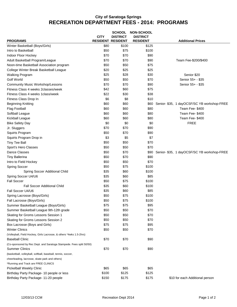## **City of Saratoga Springs RECREATION DEPARTMENT FEES - 2014: PROGRAMS**

|                                                                                               |                          | <b>SCHOOL</b>   | <b>NON-SCHOOL</b> |                                             |
|-----------------------------------------------------------------------------------------------|--------------------------|-----------------|-------------------|---------------------------------------------|
|                                                                                               | <b>CITY</b>              | <b>DISTRICT</b> | <b>DISTRICT</b>   |                                             |
| <b>PROGRAMS</b>                                                                               | <b>RESIDENT RESIDENT</b> |                 | <b>RESIDENT</b>   | <b>Additional Prices</b>                    |
| Winter Basketball (Boys/Girls)                                                                | \$80                     | \$100           | \$125             |                                             |
| Intro to Basketball                                                                           | \$50                     | \$75            | \$100             |                                             |
| Indoor Floor Hockey                                                                           | \$70                     | \$70            | \$90              |                                             |
| Adult Basketball Program/League                                                               | \$70                     | \$70            | \$90              | Team Fee-\$200/\$400                        |
| Noon-time Basketball Association program                                                      | \$50                     | \$50            | \$75              |                                             |
| College Winter Break Basketball League                                                        | \$20                     | \$25            | \$25              |                                             |
| <b>Walking Program</b>                                                                        | \$25                     | \$28            | \$30              | Senior \$20                                 |
| Golf World                                                                                    | \$50                     | \$50            | \$70              | Senior 55+ - \$35                           |
| <b>Community Music Workshop/Lessons</b>                                                       | \$70                     | \$70            | \$90              | Senior 55+ - \$35                           |
| Fitness Class 4 weeks 2classes/week                                                           | \$42                     | \$60            | \$75              |                                             |
| Fitness Class 4 weeks 1 class/week                                                            | \$22                     | \$30            | \$38              |                                             |
| Fitness Class Drop In                                                                         | \$6                      | \$8             | \$10              |                                             |
| <b>Beginning Knitting</b>                                                                     | \$60                     | \$60            | \$60              | Senior- \$35, 1 dayOCSF/SC YB workshop-FREE |
| <b>Flag Football</b>                                                                          | \$60                     | \$60            | \$80              | Team Fee- \$400                             |
| Softball League                                                                               | \$60                     | \$60            | \$80              | Team Fee-\$400                              |
| Kickball League                                                                               | \$60                     | \$60            | \$80              | Team Fee-\$400                              |
| <b>Bike Safety Day</b>                                                                        | \$0                      | \$0             | \$0               | <b>FREE</b>                                 |
| Jr. Sluggers                                                                                  | \$70                     | \$70            | \$90              |                                             |
| Squirts Program                                                                               | \$50                     | \$70            | \$90              |                                             |
| Squirts Program Drop in                                                                       | \$3                      | \$5             | \$7               |                                             |
| <b>Tiny Tee Ball</b>                                                                          | \$50                     | \$50            | \$70              |                                             |
| Sport's Hero Classes                                                                          | \$50                     | \$50            | \$70              |                                             |
| Dance Classes                                                                                 | \$50                     | \$70            | \$90              | Senior- \$35, 1 dayOCSF/SC YB workshop-FREE |
| <b>Tiny Ballerina</b>                                                                         | \$50                     | \$70            | \$90              |                                             |
| Intro to Field Hockey                                                                         | \$50                     | \$50            | \$70              |                                             |
| <b>Spring Soccer</b>                                                                          | \$50                     | \$75            | \$100             |                                             |
| Spring Soccer Additional Child                                                                | \$35                     | \$60            | \$100             |                                             |
| Spring Soccer U4/U6                                                                           | \$35                     | \$60            | \$85              |                                             |
| <b>Fall Soccer</b>                                                                            | \$50                     | \$75            | \$100             |                                             |
| <b>Fall Soccer Additional Child</b>                                                           | \$35                     | \$60            | \$100             |                                             |
| Fall Soccer U4/U6                                                                             | \$35                     | \$60            | \$85              |                                             |
| Spring Lacrosse (Boys/Girls)                                                                  | \$50                     | \$75            | \$100             |                                             |
| Fall Lacrosse (Boys/Girls)                                                                    | \$50                     | \$75            | \$100             |                                             |
| Summer Basketball League (Boys/Girls)                                                         | \$75                     | \$75            | \$95              |                                             |
| Summer Basketball League 9th-12th grade                                                       | \$50                     | \$50            | \$70              |                                             |
| Skating for Groms Lessons Session 1                                                           | \$50                     | \$50            | \$70              |                                             |
| Skating for Groms Lessons Session 2                                                           | \$50                     | \$50            | \$70              |                                             |
| Box Lacrosse (Boys and Girls)                                                                 | \$75                     | \$75            | \$95              |                                             |
| <b>Winter Clinics</b>                                                                         | \$50                     | \$50            | \$70              |                                             |
|                                                                                               |                          |                 |                   |                                             |
| (Volleyball, Field Hockey, Girls Lacrosse, & others *4wks 1.5-2hrs)<br><b>Baseball Clinic</b> | \$70                     | \$70            | \$90              |                                             |
|                                                                                               |                          |                 |                   |                                             |
| (Co-sponsored by Rec Dept. and Saratoga Stampede. Fees split 50/50)<br><b>Summer Clinics</b>  | \$70                     | \$70            | \$90              |                                             |
|                                                                                               |                          |                 |                   |                                             |
| (basketball, volleyball, softball, baseball, tennis, soccer,                                  |                          |                 |                   |                                             |
| cheerleading, lacrosse, skate park and others)                                                |                          |                 |                   |                                             |
| *Running and Track are FREE CLINICS                                                           |                          |                 |                   |                                             |
| Pickelball Weekly Clinic                                                                      | \$65                     | \$65            | \$65              |                                             |
| Birthday Party Package- 10 people or less                                                     | \$100                    | \$125           | \$125             |                                             |
| Birthday Party Package- 11-20 people                                                          | \$150                    | \$175           | \$175             | \$10 for each Additional person             |